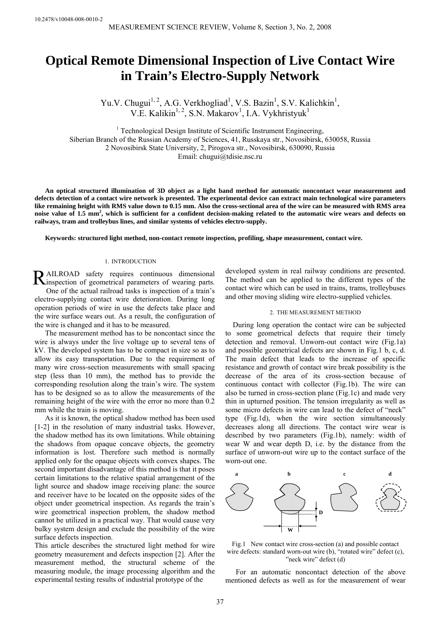# **Optical Remote Dimensional Inspection of Live Contact Wire in Train's Electro-Supply Network**

Yu.V. Chugui<sup>1, 2</sup>, A.G. Verkhogliad<sup>1</sup>, V.S. Bazin<sup>1</sup>, S.V. Kalichkin<sup>1</sup>, V.E. Kalikin<sup>1, 2</sup>, S.N. Makarov<sup>1</sup>, I.A. Vykhristyuk<sup>1</sup>

<sup>1</sup> Technological Design Institute of Scientific Instrument Engineering, Siberian Branch of the Russian Academy of Sciences, 41, Russkaya str., Novosibirsk, 630058, Russia 2 Novosibirsk State University, 2, Pirogova str., Novosibirsk, 630090, Russia Email: chugui@tdisie.nsc.ru

**An optical structured illumination of 3D object as a light band method for automatic noncontact wear measurement and defects detection of a contact wire network is presented. The experimental device can extract main technological wire parameters like remaining height with RMS value down to 0.15 mm. Also the cross-sectional area of the wire can be measured with RMS area**  noise value of 1.5 mm<sup>2</sup>, which is sufficient for a confident decision-making related to the automatic wire wears and defects on **railways, tram and trolleybus lines, and similar systems of vehicles electro-supply.** 

**Keywords: structured light method, non-contact remote inspection, profiling, shape measurement, contact wire.** 

## 1. INTRODUCTION

AILROAD safety requires continuous dimensional RAILROAD safety requires continuous dimensional einspection of geometrical parameters of wearing parts. One of the actual railroad tasks is inspection of a train's

electro-supplying contact wire deterioration. During long operation periods of wire in use the defects take place and the wire surface wears out. As a result, the configuration of the wire is changed and it has to be measured.

The measurement method has to be noncontact since the wire is always under the live voltage up to several tens of kV. The developed system has to be compact in size so as to allow its easy transportation. Due to the requirement of many wire cross-section measurements with small spacing step (less than 10 mm), the method has to provide the corresponding resolution along the train's wire. The system has to be designed so as to allow the measurements of the remaining height of the wire with the error no more than 0.2 mm while the train is moving.

As it is known, the optical shadow method has been used [1-2] in the resolution of many industrial tasks. However, the shadow method has its own limitations. While obtaining the shadows from opaque concave objects, the geometry information is lost. Therefore such method is normally applied only for the opaque objects with convex shapes. The second important disadvantage of this method is that it poses certain limitations to the relative spatial arrangement of the light source and shadow image receiving plane: the source and receiver have to be located on the opposite sides of the object under geometrical inspection. As regards the train's wire geometrical inspection problem, the shadow method cannot be utilized in a practical way. That would cause very bulky system design and exclude the possibility of the wire surface defects inspection.

This article describes the structured light method for wire geometry measurement and defects inspection [2]. After the measurement method, the structural scheme of the measuring module, the image processing algorithm and the experimental testing results of industrial prototype of the

developed system in real railway conditions are presented. The method can be applied to the different types of the contact wire which can be used in trains, trams, trolleybuses and other moving sliding wire electro-supplied vehicles.

## 2. THE MEASUREMENT METHOD

During long operation the contact wire can be subjected to some geometrical defects that require their timely detection and removal. Unworn-out contact wire (Fig.1a) and possible geometrical defects are shown in Fig.1 b, c, d. The main defect that leads to the increase of specific resistance and growth of contact wire break possibility is the decrease of the area of its cross-section because of continuous contact with collector (Fig.1b). The wire can also be turned in cross-section plane (Fig.1c) and made very thin in upturned position. The tension irregularity as well as some micro defects in wire can lead to the defect of "neck" type (Fig.1d), when the wire section simultaneously decreases along all directions. The contact wire wear is described by two parameters (Fig.1b), namely: width of wear W and wear depth D, i.e. by the distance from the surface of unworn-out wire up to the contact surface of the worn-out one.



Fig.1 New contact wire cross-section (a) and possible contact wire defects: standard worn-out wire (b), "rotated wire" defect (c), "neck wire" defect (d)

For an automatic noncontact detection of the above mentioned defects as well as for the measurement of wear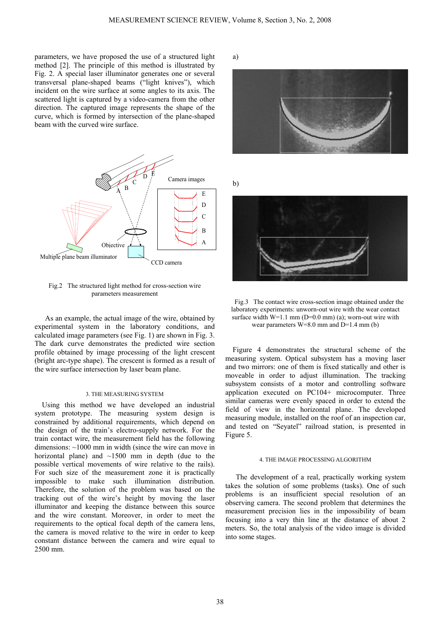parameters, we have proposed the use of a structured light method [2]. The principle of this method is illustrated by Fig. 2. A special laser illuminator generates one or several transversal plane-shaped beams ("light knives"), which incident on the wire surface at some angles to its axis. The scattered light is captured by a video-camera from the other direction. The captured image represents the shape of the curve, which is formed by intersection of the plane-shaped beam with the curved wire surface.



Fig.2 The structured light method for cross-section wire parameters measurement

As an example, the actual image of the wire, obtained by experimental system in the laboratory conditions, and calculated image parameters (see Fig. 1) are shown in Fig. 3. The dark curve demonstrates the predicted wire section profile obtained by image processing of the light crescent (bright arc-type shape). The crescent is formed as a result of the wire surface intersection by laser beam plane.

## 3. THE MEASURING SYSTEM

 Using this method we have developed an industrial system prototype. The measuring system design is constrained by additional requirements, which depend on the design of the train's electro-supply network. For the train contact wire, the measurement field has the following dimensions: ~1000 mm in width (since the wire can move in horizontal plane) and  $\sim$ 1500 mm in depth (due to the possible vertical movements of wire relative to the rails). For such size of the measurement zone it is practically impossible to make such illumination distribution. Therefore, the solution of the problem was based on the tracking out of the wire's height by moving the laser illuminator and keeping the distance between this source and the wire constant. Moreover, in order to meet the requirements to the optical focal depth of the camera lens, the camera is moved relative to the wire in order to keep constant distance between the camera and wire equal to 2500 mm.

a)



Fig.3 The contact wire cross-section image obtained under the laboratory experiments: unworn-out wire with the wear contact surface width  $W=1.1$  mm (D=0.0 mm) (a); worn-out wire with wear parameters  $W=8.0$  mm and  $D=1.4$  mm (b)

Figure 4 demonstrates the structural scheme of the measuring system. Optical subsystem has a moving laser and two mirrors: one of them is fixed statically and other is moveable in order to adjust illumination. The tracking subsystem consists of a motor and controlling software application executed on PC104+ microcomputer. Three similar cameras were evenly spaced in order to extend the field of view in the horizontal plane. The developed measuring module, installed on the roof of an inspection car, and tested on "Seyatel" railroad station, is presented in Figure 5.

#### 4. THE IMAGE PROCESSING ALGORITHM

The development of a real, practically working system takes the solution of some problems (tasks). One of such problems is an insufficient special resolution of an observing camera. The second problem that determines the measurement precision lies in the impossibility of beam focusing into a very thin line at the distance of about 2 meters. So, the total analysis of the video image is divided into some stages.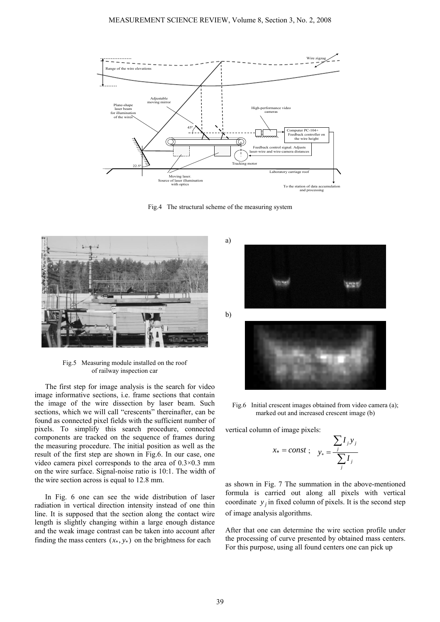

Fig.4 The structural scheme of the measuring system



Fig.5 Measuring module installed on the roof of railway inspection car

The first step for image analysis is the search for video image informative sections, i.e. frame sections that contain the image of the wire dissection by laser beam. Such sections, which we will call "crescents" thereinafter, can be found as connected pixel fields with the sufficient number of pixels. To simplify this search procedure, connected components are tracked on the sequence of frames during the measuring procedure. The initial position as well as the result of the first step are shown in Fig.6. In our case, one video camera pixel corresponds to the area of 0.3×0.3 mm on the wire surface. Signal-noise ratio is 10:1. The width of the wire section across is equal to 12.8 mm.

In Fig. 6 one can see the wide distribution of laser radiation in vertical direction intensity instead of one thin line. It is supposed that the section along the contact wire length is slightly changing within a large enough distance and the weak image contrast can be taken into account after finding the mass centers  $(x_*, y_*)$  on the brightness for each



Fig.6 Initial crescent images obtained from video camera (a); marked out and increased crescent image (b)

vertical column of image pixels:

$$
x_* = const ; \quad y_* = \frac{\sum_j I_j y_j}{\sum_j I_j}
$$

as shown in Fig. 7 The summation in the above-mentioned formula is carried out along all pixels with vertical coordinate  $y_i$  in fixed column of pixels. It is the second step of image analysis algorithms.

After that one can determine the wire section profile under the processing of curve presented by obtained mass centers. For this purpose, using all found centers one can pick up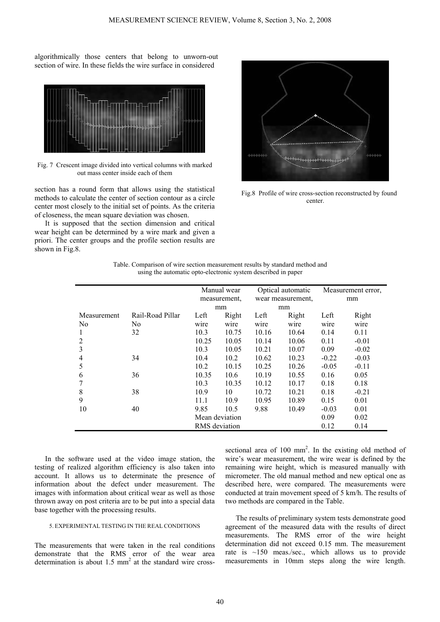algorithmically those centers that belong to unworn-out section of wire. In these fields the wire surface in considered



Fig. 7 Crescent image divided into vertical columns with marked out mass center inside each of them

section has a round form that allows using the statistical methods to calculate the center of section contour as a circle center most closely to the initial set of points. As the criteria of closeness, the mean square deviation was chosen.

It is supposed that the section dimension and critical wear height can be determined by a wire mark and given a priori. The center groups and the profile section results are shown in Fig.8.



Fig.8 Profile of wire cross-section reconstructed by found center.

| Table. Comparison of wire section measurement results by standard method and |
|------------------------------------------------------------------------------|
| using the automatic opto-electronic system described in paper                |

|                |                  | Manual wear<br>measurement, |       | Optical automatic<br>wear measurement. |       | Measurement error,<br>mm |         |
|----------------|------------------|-----------------------------|-------|----------------------------------------|-------|--------------------------|---------|
|                |                  | mm                          |       | mm                                     |       |                          |         |
| Measurement    | Rail-Road Pillar | Left                        | Right | Left                                   | Right | Left                     | Right   |
| N <sub>0</sub> | No               | wire                        | wire  | wire                                   | wire  | wire                     | wire    |
| 1              | 32               | 10.3                        | 10.75 | 10.16                                  | 10.64 | 0.14                     | 0.11    |
| 2              |                  | 10.25                       | 10.05 | 10.14                                  | 10.06 | 0.11                     | $-0.01$ |
| 3              |                  | 10.3                        | 10.05 | 10.21                                  | 10.07 | 0.09                     | $-0.02$ |
| 4              | 34               | 10.4                        | 10.2  | 10.62                                  | 10.23 | $-0.22$                  | $-0.03$ |
| 5              |                  | 10.2                        | 10.15 | 10.25                                  | 10.26 | $-0.05$                  | $-0.11$ |
| 6              | 36               | 10.35                       | 10.6  | 10.19                                  | 10.55 | 0.16                     | 0.05    |
|                |                  | 10.3                        | 10.35 | 10.12                                  | 10.17 | 0.18                     | 0.18    |
| 8              | 38               | 10.9                        | 10    | 10.72                                  | 10.21 | 0.18                     | $-0.21$ |
| 9              |                  | 11.1                        | 10.9  | 10.95                                  | 10.89 | 0.15                     | 0.01    |
| 10             | 40               | 9.85                        | 10.5  | 9.88                                   | 10.49 | $-0.03$                  | 0.01    |
|                |                  | Mean deviation              |       |                                        |       | 0.09                     | 0.02    |
|                |                  | RMS deviation               |       |                                        |       | 0.12                     | 0.14    |

In the software used at the video image station, the testing of realized algorithm efficiency is also taken into account. It allows us to determinate the presence of information about the defect under measurement. The images with information about critical wear as well as those thrown away on post criteria are to be put into a special data base together with the processing results.

# 5. EXPERIMENTAL TESTING IN THE REAL CONDITIONS

The measurements that were taken in the real conditions demonstrate that the RMS error of the wear area determination is about  $1.5 \text{ mm}^2$  at the standard wire cross-

sectional area of  $100 \text{ mm}^2$ . In the existing old method of wire's wear measurement, the wire wear is defined by the remaining wire height, which is measured manually with micrometer. The old manual method and new optical one as described here, were compared. The measurements were conducted at train movement speed of 5 km/h. The results of two methods are compared in the Table.

The results of preliminary system tests demonstrate good agreement of the measured data with the results of direct measurements. The RMS error of the wire height determination did not exceed 0.15 mm. The measurement rate is ~150 meas./sec., which allows us to provide measurements in 10mm steps along the wire length.